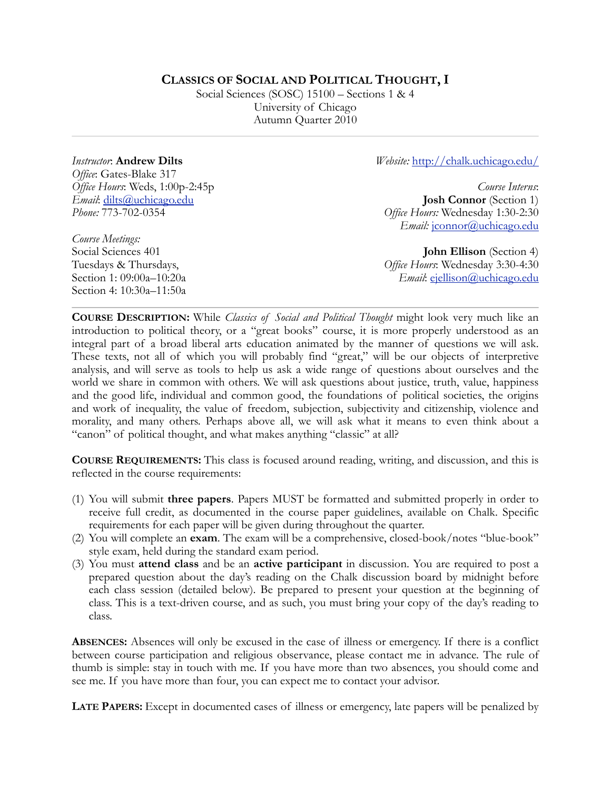## **CLASSICS OF SOCIAL AND POLITICAL THOUGHT, I**

Social Sciences (SOSC) 15100 – Sections 1 & 4 University of Chicago Autumn Quarter 2010

*Instructor*: **Andrew Dilts** *Office*: Gates-Blake 317 *Office Hours*: Weds, 1:00p-2:45p *Email*: [dilts@uchicago.edu](mailto:dilts@uchicago.edu) *Phone:* 773-702-0354

*Course Meetings:*  Social Sciences 401 *Website:* [http://chalk.uchicago.edu/](http://chalk.uchicago.edu)

*Course Interns*: **Josh Connor** (Section 1) *Office Hours:* Wednesday 1:30-2:30 *Email: j*connor@uchicago.edu

**John Ellison** (Section 4) *Office Hours*: Wednesday 3:30-4:30 *Email*: [ejellison@uchicago.edu](mailto:ejellison@uchicago.edu)

Tuesdays & Thursdays, Section 1: 09:00a–10:20a Section 4: 10:30a–11:50a

**COURSE DESCRIPTION:** While *Classics of Social and Political Thought* might look very much like an introduction to political theory, or a "great books" course, it is more properly understood as an integral part of a broad liberal arts education animated by the manner of questions we will ask. These texts, not all of which you will probably find "great," will be our objects of interpretive analysis, and will serve as tools to help us ask a wide range of questions about ourselves and the world we share in common with others. We will ask questions about justice, truth, value, happiness and the good life, individual and common good, the foundations of political societies, the origins and work of inequality, the value of freedom, subjection, subjectivity and citizenship, violence and morality, and many others. Perhaps above all, we will ask what it means to even think about a "canon" of political thought, and what makes anything "classic" at all?

**COURSE REQUIREMENTS:** This class is focused around reading, writing, and discussion, and this is reflected in the course requirements:

- (1) You will submit **three papers**. Papers MUST be formatted and submitted properly in order to receive full credit, as documented in the course paper guidelines, available on Chalk. Specific requirements for each paper will be given during throughout the quarter.
- (2) You will complete an **exam**. The exam will be a comprehensive, closed-book/notes "blue-book" style exam, held during the standard exam period.
- (3) You must **attend class** and be an **active participant** in discussion. You are required to post a prepared question about the day's reading on the Chalk discussion board by midnight before each class session (detailed below). Be prepared to present your question at the beginning of class. This is a text-driven course, and as such, you must bring your copy of the day's reading to class.

**ABSENCES:** Absences will only be excused in the case of illness or emergency. If there is a conflict between course participation and religious observance, please contact me in advance. The rule of thumb is simple: stay in touch with me. If you have more than two absences, you should come and see me. If you have more than four, you can expect me to contact your advisor.

**LATE PAPERS:** Except in documented cases of illness or emergency, late papers will be penalized by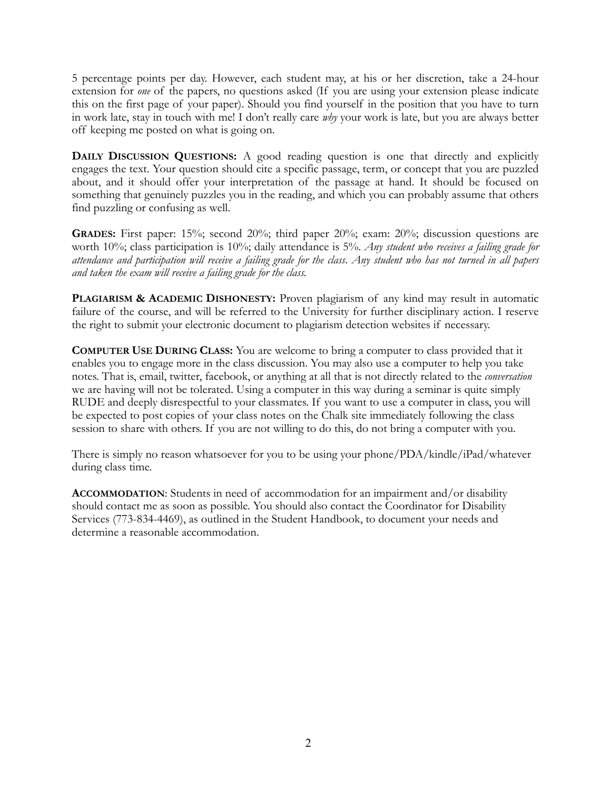5 percentage points per day. However, each student may, at his or her discretion, take a 24-hour extension for *one* of the papers, no questions asked (If you are using your extension please indicate this on the first page of your paper). Should you find yourself in the position that you have to turn in work late, stay in touch with me! I don't really care *why* your work is late, but you are always better off keeping me posted on what is going on.

**DAILY DISCUSSION QUESTIONS:** A good reading question is one that directly and explicitly engages the text. Your question should cite a specific passage, term, or concept that you are puzzled about, and it should offer your interpretation of the passage at hand. It should be focused on something that genuinely puzzles you in the reading, and which you can probably assume that others find puzzling or confusing as well.

**GRADES:** First paper: 15%; second 20%; third paper 20%; exam: 20%; discussion questions are worth 10%; class participation is 10%; daily attendance is 5%. *Any student who receives a failing grade for attendance and participation will receive a failing grade for the class*. *Any student who has not turned in all papers and taken the exam will receive a failing grade for the class.*

**PLAGIARISM & ACADEMIC DISHONESTY:** Proven plagiarism of any kind may result in automatic failure of the course, and will be referred to the University for further disciplinary action. I reserve the right to submit your electronic document to plagiarism detection websites if necessary.

**COMPUTER USE DURING CLASS:** You are welcome to bring a computer to class provided that it enables you to engage more in the class discussion. You may also use a computer to help you take notes. That is, email, twitter, facebook, or anything at all that is not directly related to the *conversation*  we are having will not be tolerated. Using a computer in this way during a seminar is quite simply RUDE and deeply disrespectful to your classmates. If you want to use a computer in class, you will be expected to post copies of your class notes on the Chalk site immediately following the class session to share with others. If you are not willing to do this, do not bring a computer with you.

There is simply no reason whatsoever for you to be using your phone/PDA/kindle/iPad/whatever during class time.

**ACCOMMODATION**: Students in need of accommodation for an impairment and/or disability should contact me as soon as possible. You should also contact the Coordinator for Disability Services (773-834-4469), as outlined in the Student Handbook, to document your needs and determine a reasonable accommodation.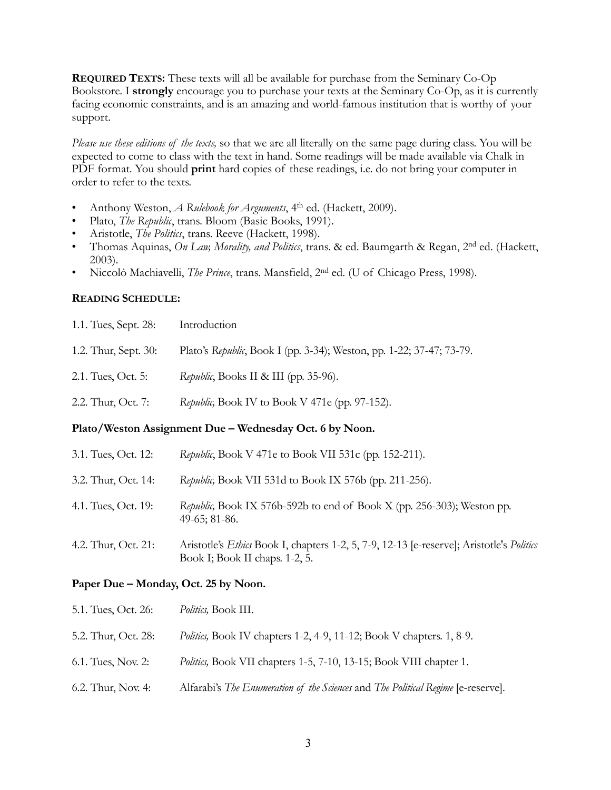**REQUIRED TEXTS:** These texts will all be available for purchase from the Seminary Co-Op Bookstore. I **strongly** encourage you to purchase your texts at the Seminary Co-Op, as it is currently facing economic constraints, and is an amazing and world-famous institution that is worthy of your support.

*Please use these editions of the texts,* so that we are all literally on the same page during class. You will be expected to come to class with the text in hand. Some readings will be made available via Chalk in PDF format. You should **print** hard copies of these readings, i.e. do not bring your computer in order to refer to the texts.

- Anthony Weston, *A Rulebook for Arguments*, 4th ed. (Hackett, 2009).
- Plato, *The Republic*, trans. Bloom (Basic Books, 1991).
- Aristotle, *The Politics*, trans. Reeve (Hackett, 1998).
- Thomas Aquinas, *On Law, Morality, and Politics*, trans. & ed. Baumgarth & Regan, 2nd ed. (Hackett, 2003).
- Niccolò Machiavelli, *The Prince*, trans. Mansfield, 2nd ed. (U of Chicago Press, 1998).

## **READING SCHEDULE:**

| Plato/Weston Assignment Due – Wednesday Oct. 6 by Noon. |                                                                      |  |
|---------------------------------------------------------|----------------------------------------------------------------------|--|
| 2.2. Thur, Oct. 7:                                      | Republic, Book IV to Book V 471e (pp. 97-152).                       |  |
| 2.1. Tues, Oct. 5:                                      | Republic, Books II & III (pp. 35-96).                                |  |
| 1.2. Thur, Sept. 30:                                    | Plato's Republic, Book I (pp. 3-34); Weston, pp. 1-22; 37-47; 73-79. |  |
| 1.1. Tues, Sept. 28:                                    | Introduction                                                         |  |

| 3.1. Tues, Oct. 12: | Republic, Book V 471e to Book VII 531c (pp. 152-211).                                                                      |
|---------------------|----------------------------------------------------------------------------------------------------------------------------|
| 3.2. Thur, Oct. 14: | Republic, Book VII 531d to Book IX 576b (pp. 211-256).                                                                     |
| 4.1. Tues, Oct. 19: | Republic, Book IX 576b-592b to end of Book X (pp. 256-303); Weston pp.<br>$49-65$ ; 81-86.                                 |
| 4.2. Thur, Oct. 21: | Aristotle's Ethics Book I, chapters 1-2, 5, 7-9, 12-13 [e-reserve]; Aristotle's Politics<br>Book I; Book II chaps. 1-2, 5. |

## **Paper Due – Monday, Oct. 25 by Noon.**

| 5.1. Tues, Oct. 26: | <i>Politics</i> , Book III.                                                      |
|---------------------|----------------------------------------------------------------------------------|
| 5.2. Thur, Oct. 28: | <i>Politics</i> , Book IV chapters 1-2, 4-9, 11-12; Book V chapters. 1, 8-9.     |
| 6.1. Tues, Nov. 2:  | <i>Politics</i> , Book VII chapters 1-5, 7-10, 13-15; Book VIII chapter 1.       |
| 6.2. Thur, Nov. 4:  | Alfarabi's The Enumeration of the Sciences and The Political Regime [e-reserve]. |